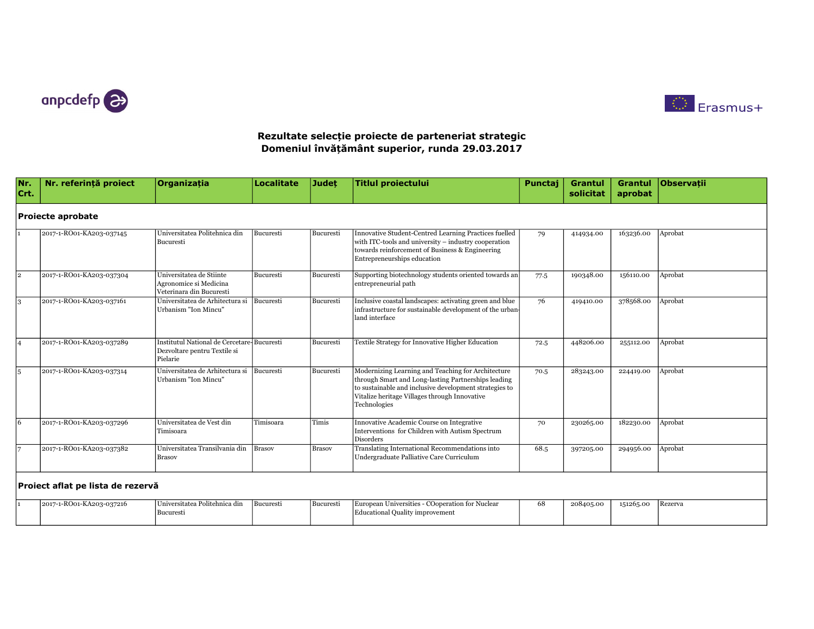



| Nr.<br>Crt.                       | Nr. referință proiect    | Organizația                                                                            | Localitate    | <b>Judet</b>  | <b>Titlul proiectului</b>                                                                                                                                                                                                            | Punctaj | <b>Grantul</b><br>solicitat | <b>Grantul</b><br>aprobat | <b>Observatii</b> |  |
|-----------------------------------|--------------------------|----------------------------------------------------------------------------------------|---------------|---------------|--------------------------------------------------------------------------------------------------------------------------------------------------------------------------------------------------------------------------------------|---------|-----------------------------|---------------------------|-------------------|--|
| <b>Proiecte aprobate</b>          |                          |                                                                                        |               |               |                                                                                                                                                                                                                                      |         |                             |                           |                   |  |
|                                   | 2017-1-RO01-KA203-037145 | Universitatea Politehnica din<br>Bucuresti                                             | Bucuresti     | Bucuresti     | Innovative Student-Centred Learning Practices fuelled<br>with ITC-tools and university – industry cooperation<br>towards reinforcement of Business & Engineering<br>Entrepreneurships education                                      | 79      | 414934.00                   | 163236.00                 | Aprobat           |  |
| $\vert$ <sub>2</sub>              | 2017-1-RO01-KA203-037304 | Universitatea de Stiinte<br>Agronomice si Medicina<br>Veterinara din Bucuresti         | Bucuresti     | Bucuresti     | Supporting biotechnology students oriented towards an<br>entrepreneurial path                                                                                                                                                        | 77.5    | 190348.00                   | 156110.00                 | Aprobat           |  |
| $\overline{\mathbf{3}}$           | 2017-1-RO01-KA203-037161 | Universitatea de Arhitectura si<br>Urbanism "Ion Mincu"                                | Bucuresti     | Bucuresti     | Inclusive coastal landscapes: activating green and blue<br>infrastructure for sustainable development of the urban-<br>lland interface                                                                                               | 76      | 419410.00                   | 378568.00                 | Aprobat           |  |
| l4                                | 2017-1-RO01-KA203-037289 | Institutul National de Cercetare-Bucuresti<br>Dezvoltare pentru Textile si<br>Pielarie |               | Bucuresti     | Textile Strategy for Innovative Higher Education                                                                                                                                                                                     | 72.5    | 448206.00                   | 255112.00                 | Aprobat           |  |
| $\overline{5}$                    | 2017-1-RO01-KA203-037314 | Universitatea de Arhitectura si<br>Urbanism "Ion Mincu"                                | Bucuresti     | Bucuresti     | Modernizing Learning and Teaching for Architecture<br>through Smart and Long-lasting Partnerships leading<br>to sustainable and inclusive development strategies to<br>Vitalize heritage Villages through Innovative<br>Technologies | 70.5    | 283243.00                   | 224419.00                 | Aprobat           |  |
| $\overline{6}$                    | 2017-1-RO01-KA203-037296 | Universitatea de Vest din<br>Timisoara                                                 | Timisoara     | Timis         | Innovative Academic Course on Integrative<br>Interventions for Children with Autism Spectrum<br>Disorders                                                                                                                            | 70      | 230265.00                   | 182230.00                 | Aprobat           |  |
| 17                                | 2017-1-RO01-KA203-037382 | Universitatea Transilvania din<br><b>Brasov</b>                                        | <b>Brasov</b> | <b>Brasov</b> | Translating International Recommendations into<br>Undergraduate Palliative Care Curriculum                                                                                                                                           | 68.5    | 397205.00                   | 294956.00                 | Aprobat           |  |
| Proiect aflat pe lista de rezervă |                          |                                                                                        |               |               |                                                                                                                                                                                                                                      |         |                             |                           |                   |  |
|                                   | 2017-1-RO01-KA203-037216 | Universitatea Politehnica din<br>Bucuresti                                             | Bucuresti     | Bucuresti     | European Universities - COoperation for Nuclear<br><b>Educational Quality improvement</b>                                                                                                                                            | 68      | 208405.00                   | 151265.00                 | Rezerva           |  |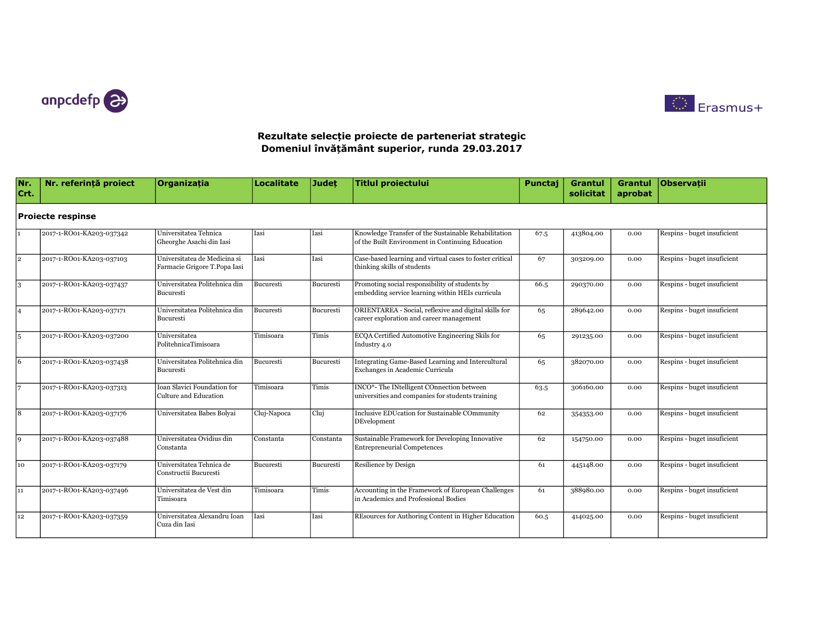



| Nr.<br>Crt.              | Nr. referință proiect    | Organizația                                                  | <b>Localitate</b> | <b>Judet</b> | <b>Titlul proiectului</b>                                                                                | Punctaj | Grantul<br>solicitat | Grantul<br>aprobat | <b>Observatii</b>           |  |
|--------------------------|--------------------------|--------------------------------------------------------------|-------------------|--------------|----------------------------------------------------------------------------------------------------------|---------|----------------------|--------------------|-----------------------------|--|
| <b>Proiecte respinse</b> |                          |                                                              |                   |              |                                                                                                          |         |                      |                    |                             |  |
|                          | 2017-1-RO01-KA203-037342 | Universitatea Tehnica<br>Gheorghe Asachi din Iasi            | Iasi              | Iasi         | Knowledge Transfer of the Sustainable Rehabilitation<br>of the Built Environment in Continuing Education | 67.5    | 413804.00            | 0.00               | Respins - buget insuficient |  |
| $\overline{2}$           | 2017-1-RO01-KA203-037103 | Universitatea de Medicina si<br>Farmacie Grigore T.Popa Iasi | Iasi              | Iasi         | Case-based learning and virtual cases to foster critical<br>thinking skills of students                  | 67      | 303209.00            | 0.00               | Respins - buget insuficient |  |
| l3                       | 2017-1-RO01-KA203-037437 | Universitatea Politehnica din<br>Bucuresti                   | Bucuresti         | Bucuresti    | Promoting social responsibility of students by<br>embedding service learning within HEIs curricula       | 66.5    | 290370.00            | 0.00               | Respins - buget insuficient |  |
| $\overline{4}$           | 2017-1-RO01-KA203-037171 | Universitatea Politehnica din<br>Bucuresti                   | Bucuresti         | Bucuresti    | ORIENTAREA - Social, reflexive and digital skills for<br>career exploration and career management        | 65      | 289642.00            | 0.00               | Respins - buget insuficient |  |
| $\overline{5}$           | 2017-1-RO01-KA203-037200 | Universitatea<br>PolitehnicaTimisoara                        | Timisoara         | Timis        | ECQA Certified Automotive Engineering Skils for<br>Industry 4.0                                          | 65      | 291235.00            | 0.00               | Respins - buget insuficient |  |
| $\overline{6}$           | 2017-1-RO01-KA203-037438 | Universitatea Politehnica din<br>Bucuresti                   | Bucuresti         | Bucuresti    | Integrating Game-Based Learning and Intercultural<br>Exchanges in Academic Curricula                     | 65      | 382070.00            | 0.00               | Respins - buget insuficient |  |
| 7                        | 2017-1-RO01-KA203-037313 | Ioan Slavici Foundation for<br><b>Culture and Education</b>  | Timisoara         | Timis        | INCO*-The INtelligent COnnection between<br>universities and companies for students training             | 63.5    | 306160.00            | 0.00               | Respins - buget insuficient |  |
| $\overline{8}$           | 2017-1-RO01-KA203-037176 | Universitatea Babes Bolyai                                   | Cluj-Napoca       | Clui         | Inclusive EDUcation for Sustainable COmmunity<br>DEvelopment                                             | 62      | 354353.00            | 0.00               | Respins - buget insuficient |  |
| $\overline{9}$           | 2017-1-RO01-KA203-037488 | Universitatea Ovidius din<br>Constanta                       | Constanta         | Constanta    | Sustainable Framework for Developing Innovative<br><b>Entrepreneurial Competences</b>                    | 62      | 154750.00            | 0.00               | Respins - buget insuficient |  |
| 10                       | 2017-1-RO01-KA203-037179 | Universitatea Tehnica de<br>Constructii Bucuresti            | Bucuresti         | Bucuresti    | <b>Resilience by Design</b>                                                                              | 61      | 445148.00            | 0.00               | Respins - buget insuficient |  |
| 11                       | 2017-1-RO01-KA203-037496 | Universitatea de Vest din<br>Timisoara                       | Timisoara         | Timis        | Accounting in the Framework of European Challenges<br>in Academics and Professional Bodies               | 61      | 388980.00            | 0.00               | Respins - buget insuficient |  |
| 12                       | 2017-1-RO01-KA203-037359 | Universitatea Alexandru Ioan<br>Cuza din Iasi                | Iasi              | Iasi         | REsources for Authoring Content in Higher Education                                                      | 60.5    | 414025.00            | 0.00               | Respins - buget insuficient |  |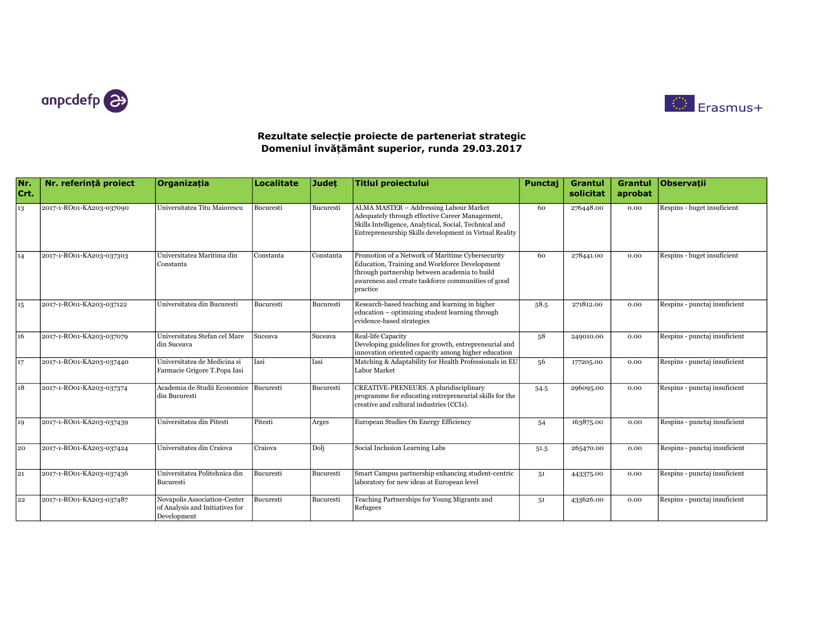



| Nr.<br>Crt. | Nr. referintă proiect    | <b>Organizatia</b>                                                             | <b>Localitate</b> | <b>Judet</b> | <b>Titlul proiectului</b>                                                                                                                                                                                            | Punctai | Grantul<br>solicitat | Grantul<br>aprobat | <b>Observatii</b>             |
|-------------|--------------------------|--------------------------------------------------------------------------------|-------------------|--------------|----------------------------------------------------------------------------------------------------------------------------------------------------------------------------------------------------------------------|---------|----------------------|--------------------|-------------------------------|
| 13          | 2017-1-RO01-KA203-037090 | Universitatea Titu Maiorescu                                                   | Bucuresti         | Bucuresti    | ALMA MASTER - Addressing Labour Market<br>Adequately through effective Career Management,<br>Skills Intelligence, Analytical, Social, Technical and<br>Entrepreneurship Skills development in Virtual Reality        | 60      | 276448.00            | 0.00               | Respins - buget insuficient   |
| 14          | 2017-1-RO01-KA203-037303 | Universitatea Maritima din<br>Constanta                                        | Constanta         | Constanta    | Promotion of a Network of Maritime Cybersecurity<br>Education, Training and Workforce Development<br>through partnership between academia to build<br>awareness and create taskforce communities of good<br>practice | 60      | 278441.00            | 0.00               | Respins - buget insuficient   |
| 15          | 2017-1-RO01-KA203-037122 | Universitatea din Bucuresti                                                    | Bucuresti         | Bucuresti    | Research-based teaching and learning in higher<br>education – optimizing student learning through<br>evidence-based strategies                                                                                       | 58.5    | 271812.00            | 0.00               | Respins - punctaj insuficient |
| 16          | 2017-1-RO01-KA203-037079 | Universitatea Stefan cel Mare<br>din Suceava                                   | Suceava           | Suceava      | Real-life Capacity<br>Developing guidelines for growth, entrepreneurial and<br>innovation oriented capacity among higher education                                                                                   | 58      | 249010.00            | 0.00               | Respins - punctaj insuficient |
| 17          | 2017-1-RO01-KA203-037440 | Universitatea de Medicina si<br>Farmacie Grigore T.Popa Iasi                   | Iasi              | Iasi         | Matching & Adaptability for Health Professionals in EU<br>Labor Market                                                                                                                                               | 56      | 177205.00            | 0.00               | Respins - punctaj insuficient |
| 18          | 2017-1-RO01-KA203-037374 | Academia de Studii Economice Bucuresti<br>din Bucuresti                        |                   | Bucuresti    | CREATIVE-PRENEURS. A pluridisciplinary<br>programme for educating entrepreneurial skills for the<br>creative and cultural industries (CCIs).                                                                         | 54.5    | 296095.00            | 0.00               | Respins - punctaj insuficient |
| 19          | 2017-1-RO01-KA203-037439 | Universitatea din Pitesti                                                      | Pitesti           | Arges        | European Studies On Energy Efficiency                                                                                                                                                                                | 54      | 163875.00            | 0.00               | Respins - punctaj insuficient |
| 20          | 2017-1-RO01-KA203-037424 | Universitatea din Craiova                                                      | Craiova           | Doli         | Social Inclusion Learning Labs                                                                                                                                                                                       | 51.5    | 265470.00            | 0.00               | Respins - punctaj insuficient |
| 21          | 2017-1-RO01-KA203-037436 | Universitatea Politehnica din<br>Bucuresti                                     | Bucuresti         | Bucuresti    | Smart Campus partnership enhancing student-centric<br>laboratory for new ideas at European level                                                                                                                     | 51      | 443375.00            | 0.00               | Respins - punctaj insuficient |
| 22          | 2017-1-RO01-KA203-037487 | Novapolis Association-Center<br>of Analysis and Initiatives for<br>Development | Bucuresti         | Bucuresti    | Teaching Partnerships for Young Migrants and<br>Refugees                                                                                                                                                             | 51      | 433626.00            | 0.00               | Respins - punctaj insuficient |